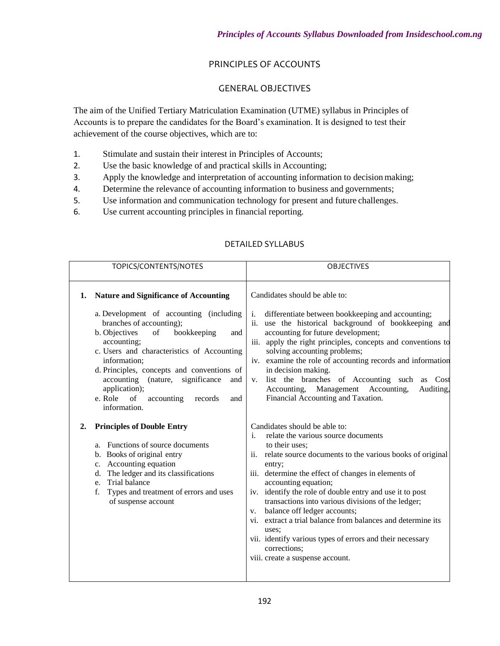## PRINCIPLES OF ACCOUNTS

## GENERAL OBJECTIVES

The aim of the Unified Tertiary Matriculation Examination (UTME) syllabus in Principles of Accounts is to prepare the candidates for the Board's examination. It is designed to test their achievement of the course objectives, which are to:

- 1. Stimulate and sustain their interest in Principles of Accounts;
- 2. Use the basic knowledge of and practical skills in Accounting;
- 3. Apply the knowledge and interpretation of accounting information to decision making;
- 4. Determine the relevance of accounting information to business and governments;
- 5. Use information and communication technology for present and future challenges.
- 6. Use current accounting principles in financial reporting.

| TOPICS/CONTENTS/NOTES                                                                                                                                                                                                                                                                                                                                                                                                          | <b>OBJECTIVES</b>                                                                                                                                                                                                                                                                                                                                                                                                                                                                                                                                                                                                     |
|--------------------------------------------------------------------------------------------------------------------------------------------------------------------------------------------------------------------------------------------------------------------------------------------------------------------------------------------------------------------------------------------------------------------------------|-----------------------------------------------------------------------------------------------------------------------------------------------------------------------------------------------------------------------------------------------------------------------------------------------------------------------------------------------------------------------------------------------------------------------------------------------------------------------------------------------------------------------------------------------------------------------------------------------------------------------|
| <b>Nature and Significance of Accounting</b><br>1.<br>a. Development of accounting (including<br>branches of accounting);<br>b. Objectives<br>of<br>bookkeeping<br>and<br>accounting;<br>c. Users and characteristics of Accounting<br>information;<br>d. Principles, concepts and conventions of<br>accounting (nature, significance<br>and<br>application);<br>e. Role<br>of<br>accounting<br>records<br>and<br>information. | Candidates should be able to:<br>differentiate between bookkeeping and accounting;<br>i.<br>use the historical background of bookkeeping and<br>ii.<br>accounting for future development;<br>iii. apply the right principles, concepts and conventions to<br>solving accounting problems;<br>iv. examine the role of accounting records and information<br>in decision making.<br>list the branches of Accounting such as Cost<br>$V_{\star}$<br>Accounting, Management Accounting,<br>Auditing,<br>Financial Accounting and Taxation.                                                                                |
| <b>Principles of Double Entry</b><br>$\overline{2}$ .<br>Functions of source documents<br>a.<br>b. Books of original entry<br>c. Accounting equation<br>d. The ledger and its classifications<br>Trial balance<br>e.<br>Types and treatment of errors and uses<br>f.<br>of suspense account                                                                                                                                    | Candidates should be able to:<br>relate the various source documents<br>$\mathbf{i}$ .<br>to their uses:<br>ii.<br>relate source documents to the various books of original<br>entry;<br>iii. determine the effect of changes in elements of<br>accounting equation;<br>iv. identify the role of double entry and use it to post<br>transactions into various divisions of the ledger;<br>balance off ledger accounts;<br>V.<br>vi. extract a trial balance from balances and determine its<br>uses:<br>vii. identify various types of errors and their necessary<br>corrections:<br>viii. create a suspense account. |

## DETAILED SYLLABUS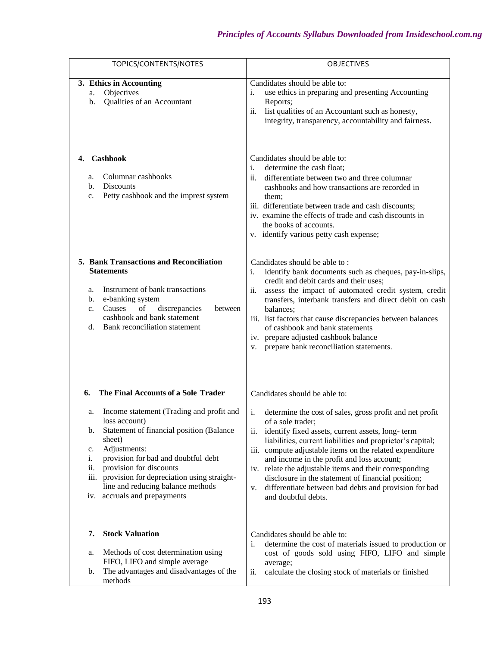| TOPICS/CONTENTS/NOTES                                                                                                                                                                                                                                                                                                                                          | <b>OBJECTIVES</b>                                                                                                                                                                                                                                                                                                                                                                                                                                                                                                             |
|----------------------------------------------------------------------------------------------------------------------------------------------------------------------------------------------------------------------------------------------------------------------------------------------------------------------------------------------------------------|-------------------------------------------------------------------------------------------------------------------------------------------------------------------------------------------------------------------------------------------------------------------------------------------------------------------------------------------------------------------------------------------------------------------------------------------------------------------------------------------------------------------------------|
| 3. Ethics in Accounting<br>Objectives<br>a.<br>Qualities of an Accountant<br>b.                                                                                                                                                                                                                                                                                | Candidates should be able to:<br>use ethics in preparing and presenting Accounting<br>i.<br>Reports;<br>list qualities of an Accountant such as honesty,<br>11.<br>integrity, transparency, accountability and fairness.                                                                                                                                                                                                                                                                                                      |
| Cashbook<br>Columnar cashbooks<br>a.<br><b>Discounts</b><br>b.<br>Petty cashbook and the imprest system<br>c.                                                                                                                                                                                                                                                  | Candidates should be able to:<br>i.<br>determine the cash float;<br>differentiate between two and three columnar<br>ii.<br>cashbooks and how transactions are recorded in<br>them;<br>iii. differentiate between trade and cash discounts;<br>iv. examine the effects of trade and cash discounts in<br>the books of accounts.<br>v. identify various petty cash expense;                                                                                                                                                     |
| 5. Bank Transactions and Reconciliation<br><b>Statements</b><br>Instrument of bank transactions<br>a.<br>e-banking system<br>b.<br>of<br>discrepancies<br>Causes<br>between<br>c.<br>cashbook and bank statement<br>Bank reconciliation statement<br>d.                                                                                                        | Candidates should be able to:<br>identify bank documents such as cheques, pay-in-slips,<br>i.<br>credit and debit cards and their uses;<br>assess the impact of automated credit system, credit<br>ii.<br>transfers, interbank transfers and direct debit on cash<br>balances;<br>iii. list factors that cause discrepancies between balances<br>of cashbook and bank statements<br>iv. prepare adjusted cashbook balance<br>prepare bank reconciliation statements.<br>V.                                                    |
| The Final Accounts of a Sole Trader<br>6.                                                                                                                                                                                                                                                                                                                      | Candidates should be able to:                                                                                                                                                                                                                                                                                                                                                                                                                                                                                                 |
| Income statement (Trading and profit and<br>a.<br>loss account)<br>Statement of financial position (Balance<br>b.<br>sheet)<br>Adjustments:<br>c.<br>provision for bad and doubtful debt<br>i.<br>provision for discounts<br>ii.<br>provision for depreciation using straight-<br>iii.<br>line and reducing balance methods<br>accruals and prepayments<br>iv. | determine the cost of sales, gross profit and net profit<br>i.<br>of a sole trader;<br>identify fixed assets, current assets, long-term<br>ii.<br>liabilities, current liabilities and proprietor's capital;<br>iii. compute adjustable items on the related expenditure<br>and income in the profit and loss account;<br>iv. relate the adjustable items and their corresponding<br>disclosure in the statement of financial position;<br>differentiate between bad debts and provision for bad<br>v.<br>and doubtful debts. |
| <b>Stock Valuation</b><br>7.                                                                                                                                                                                                                                                                                                                                   | Candidates should be able to:<br>determine the cost of materials issued to production or<br>i.                                                                                                                                                                                                                                                                                                                                                                                                                                |
| Methods of cost determination using<br>a.<br>FIFO, LIFO and simple average<br>The advantages and disadvantages of the<br>b.<br>methods                                                                                                                                                                                                                         | cost of goods sold using FIFO, LIFO and simple<br>average;<br>calculate the closing stock of materials or finished<br>ii.                                                                                                                                                                                                                                                                                                                                                                                                     |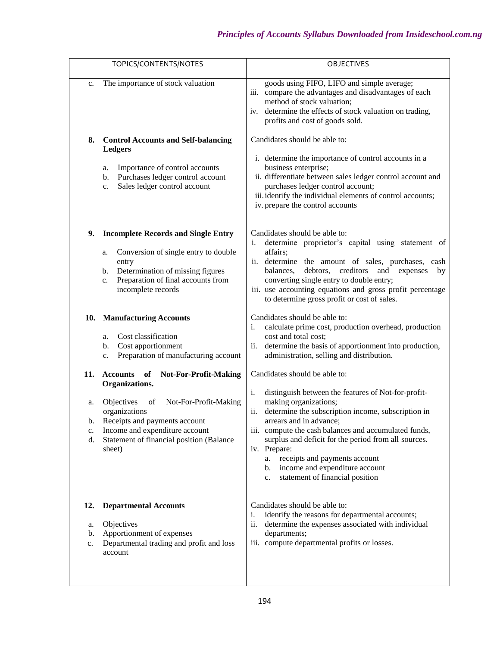|                       | TOPICS/CONTENTS/NOTES                                                                                                                                                                                         | <b>OBJECTIVES</b>                                                                                                                                                                                                                                                                                                                                                                                                                   |
|-----------------------|---------------------------------------------------------------------------------------------------------------------------------------------------------------------------------------------------------------|-------------------------------------------------------------------------------------------------------------------------------------------------------------------------------------------------------------------------------------------------------------------------------------------------------------------------------------------------------------------------------------------------------------------------------------|
| c.                    | The importance of stock valuation                                                                                                                                                                             | goods using FIFO, LIFO and simple average;<br>compare the advantages and disadvantages of each<br>iii.<br>method of stock valuation;<br>iv. determine the effects of stock valuation on trading,<br>profits and cost of goods sold.                                                                                                                                                                                                 |
| 8.                    | <b>Control Accounts and Self-balancing</b><br><b>Ledgers</b><br>Importance of control accounts<br>a.<br>Purchases ledger control account<br>b.<br>Sales ledger control account<br>c.                          | Candidates should be able to:<br>i. determine the importance of control accounts in a<br>business enterprise;<br>ii. differentiate between sales ledger control account and<br>purchases ledger control account;<br>iii. identify the individual elements of control accounts;<br>iv. prepare the control accounts                                                                                                                  |
| 9.                    | <b>Incomplete Records and Single Entry</b><br>Conversion of single entry to double<br>a.<br>entry<br>Determination of missing figures<br>b.<br>Preparation of final accounts from<br>c.<br>incomplete records | Candidates should be able to:<br>determine proprietor's capital using statement of<br>i.<br>affairs;<br>ii. determine the amount of sales, purchases, cash<br>balances,<br>debtors,<br>creditors<br>and<br>expenses<br>by<br>converting single entry to double entry;<br>iii. use accounting equations and gross profit percentage<br>to determine gross profit or cost of sales.                                                   |
| 10.                   | <b>Manufacturing Accounts</b><br>Cost classification<br>a.<br>Cost apportionment<br>b.<br>Preparation of manufacturing account<br>c.                                                                          | Candidates should be able to:<br>calculate prime cost, production overhead, production<br>i.<br>cost and total cost;<br>determine the basis of apportionment into production,<br>ii.<br>administration, selling and distribution.                                                                                                                                                                                                   |
| 11.                   | <b>Not-For-Profit-Making</b><br><b>Accounts</b><br>of<br>Organizations.                                                                                                                                       | Candidates should be able to:                                                                                                                                                                                                                                                                                                                                                                                                       |
| a.<br>b.<br>c.<br>d.  | Objectives<br>Not-For-Profit-Making<br>of<br>organizations<br>Receipts and payments account<br>Income and expenditure account<br>Statement of financial position (Balance<br>sheet)                           | i.<br>distinguish between the features of Not-for-profit-<br>making organizations;<br>determine the subscription income, subscription in<br>ii.<br>arrears and in advance;<br>iii. compute the cash balances and accumulated funds,<br>surplus and deficit for the period from all sources.<br>iv. Prepare:<br>receipts and payments account<br>a.<br>income and expenditure account<br>b.<br>statement of financial position<br>c. |
| 12.<br>a.<br>b.<br>c. | <b>Departmental Accounts</b><br>Objectives<br>Apportionment of expenses<br>Departmental trading and profit and loss<br>account                                                                                | Candidates should be able to:<br>identify the reasons for departmental accounts;<br>i.<br>determine the expenses associated with individual<br>ii.<br>departments;<br>iii. compute departmental profits or losses.                                                                                                                                                                                                                  |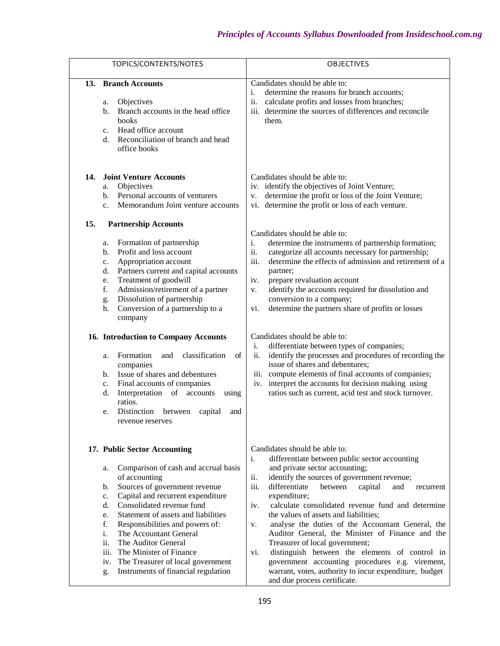| TOPICS/CONTENTS/NOTES                                                                                                                                                                                                                                                                                                                                                                                                                                                                                                                                                                                                                                                    | <b>OBJECTIVES</b>                                                                                                                                                                                                                                                                                                                                                                                                                                                                                                                                                                                                                                                                                                                                                                                 |
|--------------------------------------------------------------------------------------------------------------------------------------------------------------------------------------------------------------------------------------------------------------------------------------------------------------------------------------------------------------------------------------------------------------------------------------------------------------------------------------------------------------------------------------------------------------------------------------------------------------------------------------------------------------------------|---------------------------------------------------------------------------------------------------------------------------------------------------------------------------------------------------------------------------------------------------------------------------------------------------------------------------------------------------------------------------------------------------------------------------------------------------------------------------------------------------------------------------------------------------------------------------------------------------------------------------------------------------------------------------------------------------------------------------------------------------------------------------------------------------|
| <b>Branch Accounts</b><br>13.<br>Objectives<br>a.<br>Branch accounts in the head office<br>$\mathbf b$ .<br>books<br>Head office account<br>$C_{\star}$<br>Reconciliation of branch and head<br>d.<br>office books                                                                                                                                                                                                                                                                                                                                                                                                                                                       | Candidates should be able to:<br>determine the reasons for branch accounts;<br>i.<br>ii.<br>calculate profits and losses from branches;<br>iii. determine the sources of differences and reconcile<br>them.                                                                                                                                                                                                                                                                                                                                                                                                                                                                                                                                                                                       |
| <b>Joint Venture Accounts</b><br>14.<br>Objectives<br>a.<br>Personal accounts of venturers<br>b.<br>Memorandum Joint venture accounts<br>$C_{\star}$                                                                                                                                                                                                                                                                                                                                                                                                                                                                                                                     | Candidates should be able to:<br>iv. identify the objectives of Joint Venture;<br>determine the profit or loss of the Joint Venture;<br>v.<br>vi. determine the profit or loss of each venture.                                                                                                                                                                                                                                                                                                                                                                                                                                                                                                                                                                                                   |
| 15.<br><b>Partnership Accounts</b><br>Formation of partnership<br>a.<br>Profit and loss account<br>b.<br>Appropriation account<br>c.<br>Partners current and capital accounts<br>d.<br>Treatment of goodwill<br>e.<br>f.<br>Admission/retirement of a partner<br>Dissolution of partnership<br>g.<br>Conversion of a partnership to a<br>h.<br>company<br>16. Introduction to Company Accounts<br>classification<br>Formation<br>of<br>and<br>a.<br>companies<br>Issue of shares and debentures<br>b.<br>Final accounts of companies<br>c.<br>Interpretation of accounts<br>d.<br>using<br>ratios.<br>Distinction<br>between<br>capital<br>and<br>e.<br>revenue reserves | Candidates should be able to:<br>determine the instruments of partnership formation;<br>i.<br>ii.<br>categorize all accounts necessary for partnership;<br>iii.<br>determine the effects of admission and retirement of a<br>partner;<br>prepare revaluation account<br>iv.<br>identify the accounts required for dissolution and<br>V.<br>conversion to a company;<br>determine the partners share of profits or losses<br>vi.<br>Candidates should be able to:<br>differentiate between types of companies;<br>i.<br>ii.<br>identify the processes and procedures of recording the<br>issue of shares and debentures;<br>iii. compute elements of final accounts of companies;<br>iv. interpret the accounts for decision making using<br>ratios such as current, acid test and stock turnover. |
| 17. Public Sector Accounting<br>Comparison of cash and accrual basis<br>a.<br>of accounting<br>Sources of government revenue<br>b.<br>Capital and recurrent expenditure<br>c.<br>Consolidated revenue fund<br>d.<br>Statement of assets and liabilities<br>e.<br>f.<br>Responsibilities and powers of:<br>i.<br>The Accountant General<br>ii.<br>The Auditor General<br>The Minister of Finance<br>iii.<br>The Treasurer of local government<br>iv.<br>Instruments of financial regulation<br>g.                                                                                                                                                                         | Candidates should be able to:<br>differentiate between public sector accounting<br>i.<br>and private sector accounting;<br>identify the sources of government revenue;<br>ii.<br>differentiate<br>iii.<br>capital<br>between<br>and<br>recurrent<br>expenditure;<br>calculate consolidated revenue fund and determine<br>iv.<br>the values of assets and liabilities;<br>analyse the duties of the Accountant General, the<br>v.<br>Auditor General, the Minister of Finance and the<br>Treasurer of local government;<br>distinguish between the elements of control in<br>vi.<br>government accounting procedures e.g. virement,<br>warrant, votes, authority to incur expenditure, budget<br>and due process certificate.                                                                      |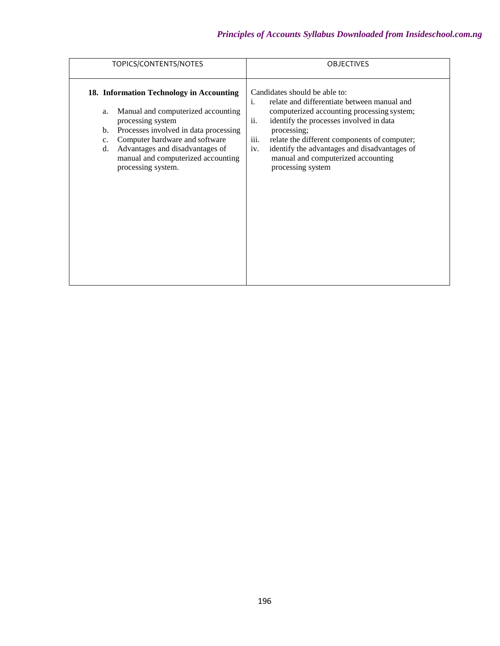| TOPICS/CONTENTS/NOTES                                                                                                                                                                                                                                                                                             | <b>OBJECTIVES</b>                                                                                                                                                                                                                                                                                                                                                           |
|-------------------------------------------------------------------------------------------------------------------------------------------------------------------------------------------------------------------------------------------------------------------------------------------------------------------|-----------------------------------------------------------------------------------------------------------------------------------------------------------------------------------------------------------------------------------------------------------------------------------------------------------------------------------------------------------------------------|
| 18. Information Technology in Accounting<br>Manual and computerized accounting<br>a.<br>processing system<br>Processes involved in data processing<br>b.<br>Computer hardware and software<br>$\mathbf{c}$ .<br>Advantages and disadvantages of<br>d.<br>manual and computerized accounting<br>processing system. | Candidates should be able to:<br>relate and differentiate between manual and<br>i.<br>computerized accounting processing system;<br>ii.<br>identify the processes involved in data<br>processing;<br>iii.<br>relate the different components of computer;<br>identify the advantages and disadvantages of<br>iv.<br>manual and computerized accounting<br>processing system |